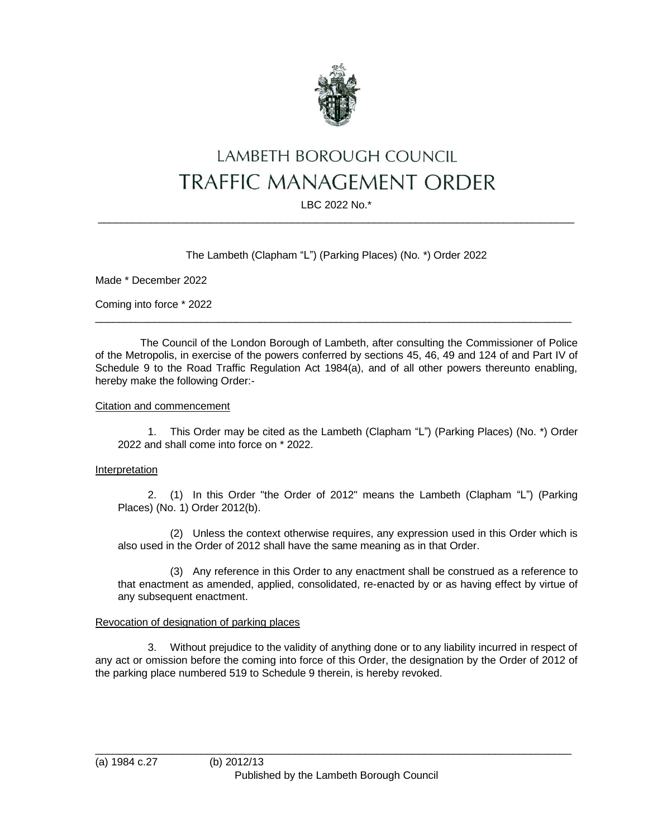

# LAMBETH BOROUGH COUNCIL **TRAFFIC MANAGEMENT ORDER**

LBC 2022 No.\*  $\_$  ,  $\_$  ,  $\_$  ,  $\_$  ,  $\_$  ,  $\_$  ,  $\_$  ,  $\_$  ,  $\_$  ,  $\_$  ,  $\_$  ,  $\_$  ,  $\_$  ,  $\_$  ,  $\_$  ,  $\_$  ,  $\_$  ,  $\_$  ,  $\_$  ,  $\_$  ,  $\_$  ,  $\_$  ,  $\_$  ,  $\_$  ,  $\_$  ,  $\_$  ,  $\_$  ,  $\_$  ,  $\_$  ,  $\_$  ,  $\_$  ,  $\_$  ,  $\_$  ,  $\_$  ,  $\_$  ,  $\_$  ,  $\_$  ,

## The Lambeth (Clapham "L") (Parking Places) (No. \*) Order 2022

Made \* December 2022

Coming into force \* 2022

The Council of the London Borough of Lambeth, after consulting the Commissioner of Police of the Metropolis, in exercise of the powers conferred by sections 45, 46, 49 and 124 of and Part IV of Schedule 9 to the Road Traffic Regulation Act 1984(a), and of all other powers thereunto enabling, hereby make the following Order:-

 $\_$  ,  $\_$  ,  $\_$  ,  $\_$  ,  $\_$  ,  $\_$  ,  $\_$  ,  $\_$  ,  $\_$  ,  $\_$  ,  $\_$  ,  $\_$  ,  $\_$  ,  $\_$  ,  $\_$  ,  $\_$  ,  $\_$  ,  $\_$  ,  $\_$  ,  $\_$  ,  $\_$  ,  $\_$  ,  $\_$  ,  $\_$  ,  $\_$  ,  $\_$  ,  $\_$  ,  $\_$  ,  $\_$  ,  $\_$  ,  $\_$  ,  $\_$  ,  $\_$  ,  $\_$  ,  $\_$  ,  $\_$  ,  $\_$  ,

#### Citation and commencement

1. This Order may be cited as the Lambeth (Clapham "L") (Parking Places) (No. \*) Order 2022 and shall come into force on \* 2022.

## Interpretation

2. (1) In this Order "the Order of 2012" means the Lambeth (Clapham "L") (Parking Places) (No. 1) Order 2012(b).

(2) Unless the context otherwise requires, any expression used in this Order which is also used in the Order of 2012 shall have the same meaning as in that Order.

(3) Any reference in this Order to any enactment shall be construed as a reference to that enactment as amended, applied, consolidated, re-enacted by or as having effect by virtue of any subsequent enactment.

## Revocation of designation of parking places

3. Without prejudice to the validity of anything done or to any liability incurred in respect of any act or omission before the coming into force of this Order, the designation by the Order of 2012 of the parking place numbered 519 to Schedule 9 therein, is hereby revoked.

\_\_\_\_\_\_\_\_\_\_\_\_\_\_\_\_\_\_\_\_\_\_\_\_\_\_\_\_\_\_\_\_\_\_\_\_\_\_\_\_\_\_\_\_\_\_\_\_\_\_\_\_\_\_\_\_\_\_\_\_\_\_\_\_\_\_\_\_\_\_\_\_\_\_\_\_\_\_\_\_\_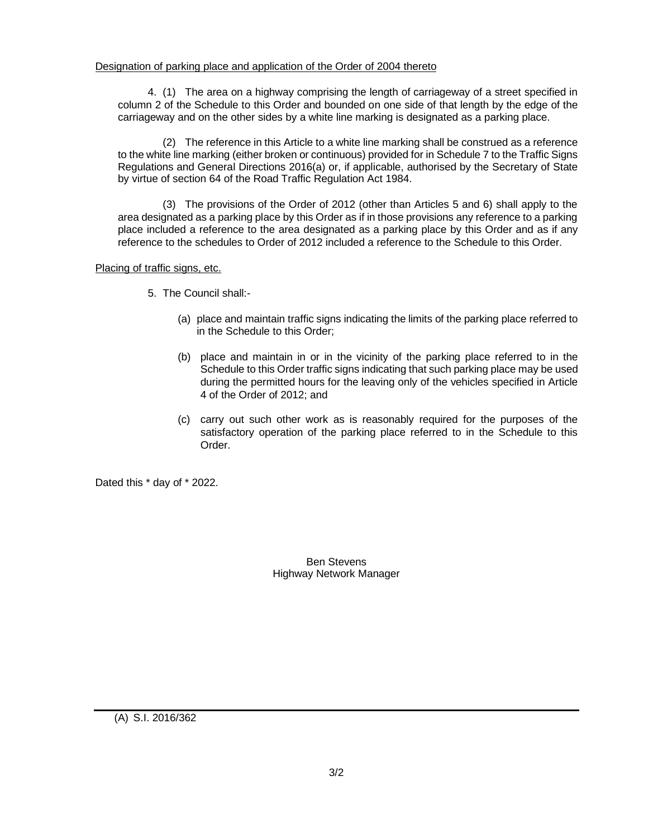## Designation of parking place and application of the Order of 2004 thereto

4. (1) The area on a highway comprising the length of carriageway of a street specified in column 2 of the Schedule to this Order and bounded on one side of that length by the edge of the carriageway and on the other sides by a white line marking is designated as a parking place.

(2) The reference in this Article to a white line marking shall be construed as a reference to the white line marking (either broken or continuous) provided for in Schedule 7 to the Traffic Signs Regulations and General Directions 2016(a) or, if applicable, authorised by the Secretary of State by virtue of section 64 of the Road Traffic Regulation Act 1984.

(3) The provisions of the Order of 2012 (other than Articles 5 and 6) shall apply to the area designated as a parking place by this Order as if in those provisions any reference to a parking place included a reference to the area designated as a parking place by this Order and as if any reference to the schedules to Order of 2012 included a reference to the Schedule to this Order.

Placing of traffic signs, etc.

- 5. The Council shall:-
	- (a) place and maintain traffic signs indicating the limits of the parking place referred to in the Schedule to this Order;
	- (b) place and maintain in or in the vicinity of the parking place referred to in the Schedule to this Order traffic signs indicating that such parking place may be used during the permitted hours for the leaving only of the vehicles specified in Article 4 of the Order of 2012; and
	- (c) carry out such other work as is reasonably required for the purposes of the satisfactory operation of the parking place referred to in the Schedule to this Order.

Dated this \* day of \* 2022.

Ben Stevens Highway Network Manager

(A) S.I. 2016/362